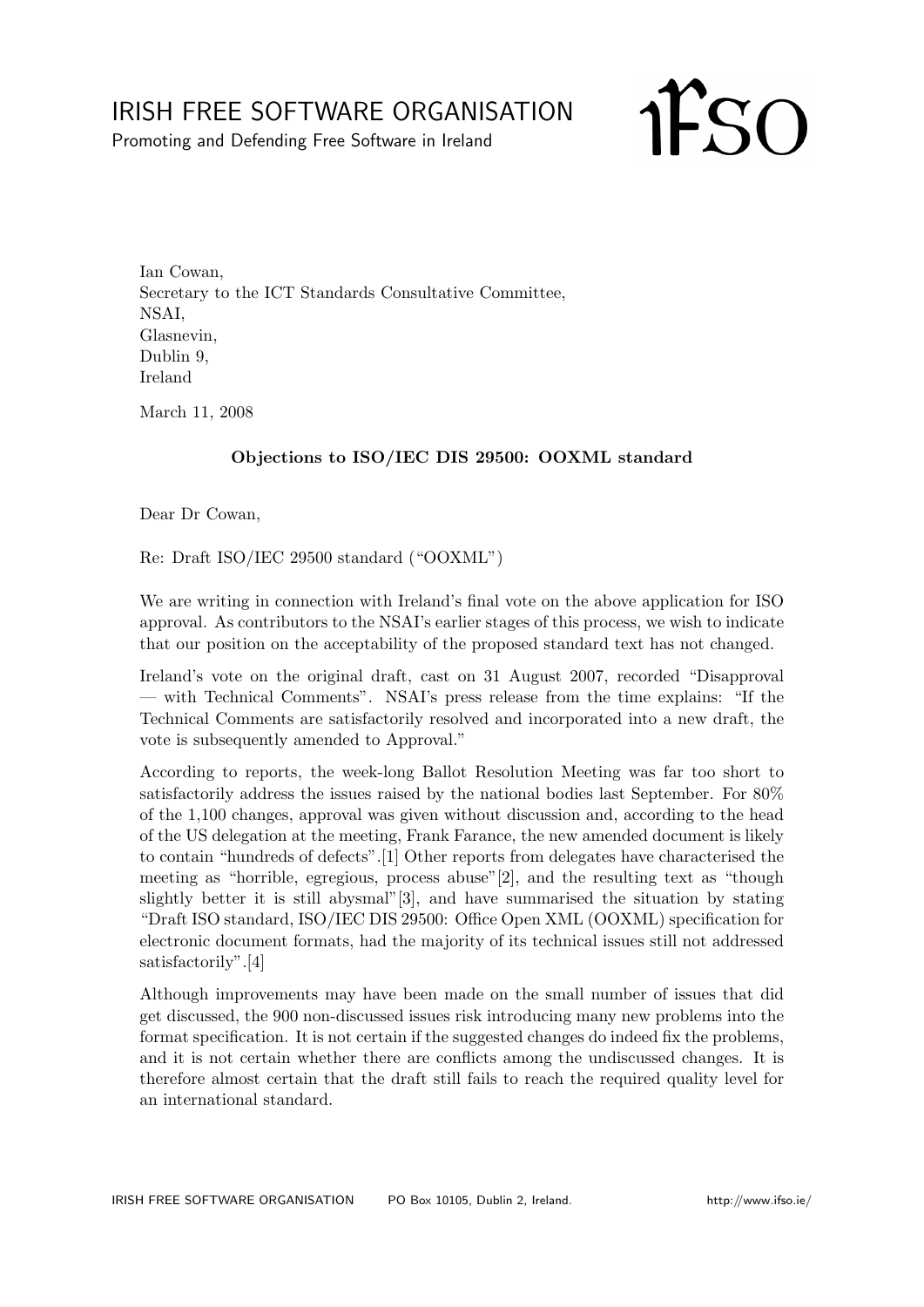## IRISH FREE SOFTWARE ORGANISATION

Promoting and Defending Free Software in Ireland

**IFSO** 

Ian Cowan, Secretary to the ICT Standards Consultative Committee, NSAI, Glasnevin, Dublin 9, Ireland

March 11, 2008

## Objections to ISO/IEC DIS 29500: OOXML standard

Dear Dr Cowan,

Re: Draft ISO/IEC 29500 standard ("OOXML")

We are writing in connection with Ireland's final vote on the above application for ISO approval. As contributors to the NSAI's earlier stages of this process, we wish to indicate that our position on the acceptability of the proposed standard text has not changed.

Ireland's vote on the original draft, cast on 31 August 2007, recorded "Disapproval — with Technical Comments". NSAI's press release from the time explains: "If the Technical Comments are satisfactorily resolved and incorporated into a new draft, the vote is subsequently amended to Approval."

According to reports, the week-long Ballot Resolution Meeting was far too short to satisfactorily address the issues raised by the national bodies last September. For 80% of the 1,100 changes, approval was given without discussion and, according to the head of the US delegation at the meeting, Frank Farance, the new amended document is likely to contain "hundreds of defects".[1] Other reports from delegates have characterised the meeting as "horrible, egregious, process abuse"[2], and the resulting text as "though slightly better it is still abysmal"[3], and have summarised the situation by stating "Draft ISO standard, ISO/IEC DIS 29500: Office Open XML (OOXML) specification for electronic document formats, had the majority of its technical issues still not addressed satisfactorily".[4]

Although improvements may have been made on the small number of issues that did get discussed, the 900 non-discussed issues risk introducing many new problems into the format specification. It is not certain if the suggested changes do indeed fix the problems, and it is not certain whether there are conflicts among the undiscussed changes. It is therefore almost certain that the draft still fails to reach the required quality level for an international standard.